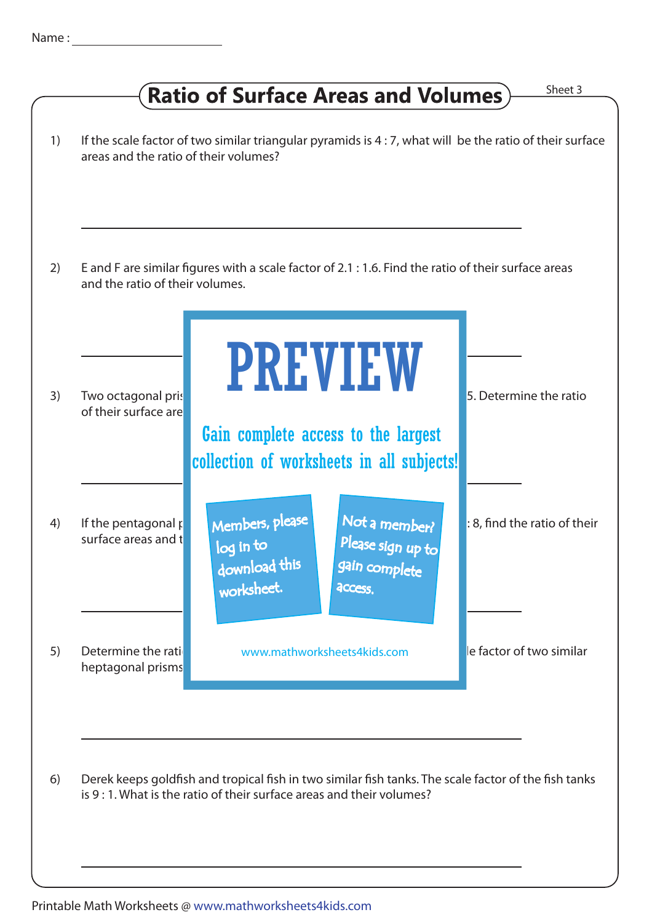